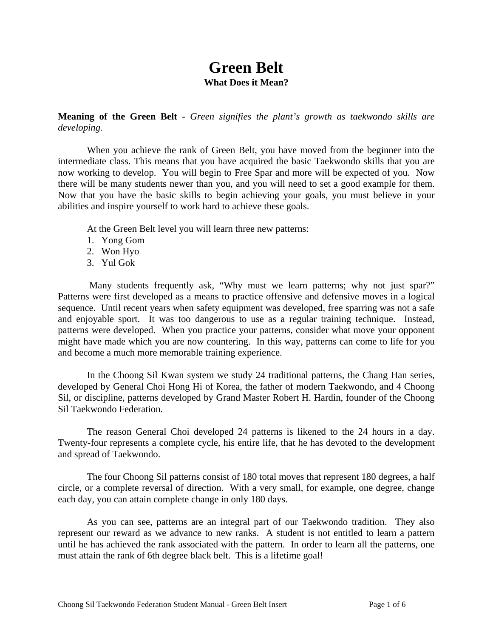### **Green Belt What Does it Mean?**

**Meaning of the Green Belt** *- Green signifies the plant's growth as taekwondo skills are developing.* 

When you achieve the rank of Green Belt, you have moved from the beginner into the intermediate class. This means that you have acquired the basic Taekwondo skills that you are now working to develop. You will begin to Free Spar and more will be expected of you. Now there will be many students newer than you, and you will need to set a good example for them. Now that you have the basic skills to begin achieving your goals, you must believe in your abilities and inspire yourself to work hard to achieve these goals.

At the Green Belt level you will learn three new patterns:

- 1. Yong Gom
- 2. Won Hyo
- 3. Yul Gok

Many students frequently ask, "Why must we learn patterns; why not just spar?" Patterns were first developed as a means to practice offensive and defensive moves in a logical sequence. Until recent years when safety equipment was developed, free sparring was not a safe and enjoyable sport. It was too dangerous to use as a regular training technique. Instead, patterns were developed. When you practice your patterns, consider what move your opponent might have made which you are now countering. In this way, patterns can come to life for you and become a much more memorable training experience.

In the Choong Sil Kwan system we study 24 traditional patterns, the Chang Han series, developed by General Choi Hong Hi of Korea, the father of modern Taekwondo, and 4 Choong Sil, or discipline, patterns developed by Grand Master Robert H. Hardin, founder of the Choong Sil Taekwondo Federation.

The reason General Choi developed 24 patterns is likened to the 24 hours in a day. Twenty-four represents a complete cycle, his entire life, that he has devoted to the development and spread of Taekwondo.

The four Choong Sil patterns consist of 180 total moves that represent 180 degrees, a half circle, or a complete reversal of direction. With a very small, for example, one degree, change each day, you can attain complete change in only 180 days.

As you can see, patterns are an integral part of our Taekwondo tradition. They also represent our reward as we advance to new ranks. A student is not entitled to learn a pattern until he has achieved the rank associated with the pattern. In order to learn all the patterns, one must attain the rank of 6th degree black belt. This is a lifetime goal!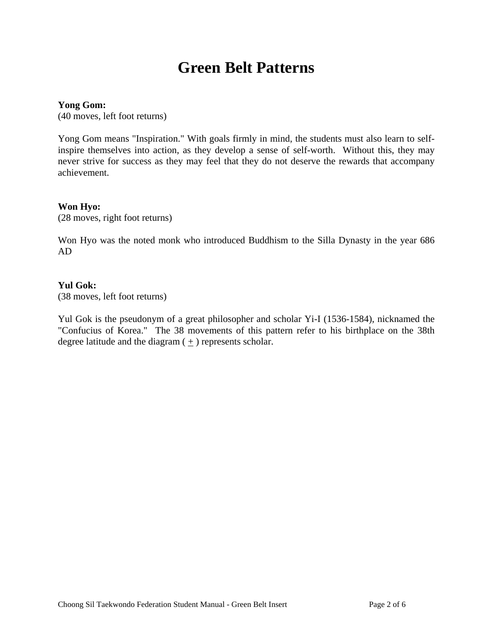### **Green Belt Patterns**

### **Yong Gom:**

(40 moves, left foot returns)

Yong Gom means "Inspiration." With goals firmly in mind, the students must also learn to selfinspire themselves into action, as they develop a sense of self-worth. Without this, they may never strive for success as they may feel that they do not deserve the rewards that accompany achievement.

### **Won Hyo:**

(28 moves, right foot returns)

Won Hyo was the noted monk who introduced Buddhism to the Silla Dynasty in the year 686 AD

### **Yul Gok:**

(38 moves, left foot returns)

Yul Gok is the pseudonym of a great philosopher and scholar Yi-I (1536-1584), nicknamed the "Confucius of Korea." The 38 movements of this pattern refer to his birthplace on the 38th degree latitude and the diagram  $(+)$  represents scholar.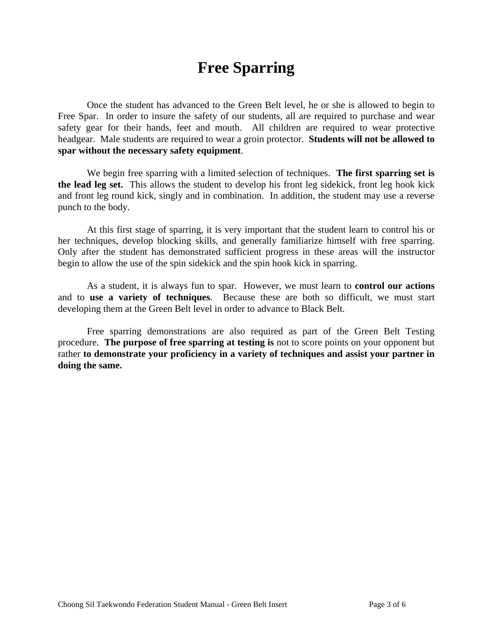## **Free Sparring**

Once the student has advanced to the Green Belt level, he or she is allowed to begin to Free Spar. In order to insure the safety of our students, all are required to purchase and wear safety gear for their hands, feet and mouth. All children are required to wear protective headgear. Male students are required to wear a groin protector. **Students will not be allowed to spar without the necessary safety equipment**.

We begin free sparring with a limited selection of techniques. **The first sparring set is the lead leg set.** This allows the student to develop his front leg sidekick, front leg hook kick and front leg round kick, singly and in combination. In addition, the student may use a reverse punch to the body.

At this first stage of sparring, it is very important that the student learn to control his or her techniques, develop blocking skills, and generally familiarize himself with free sparring. Only after the student has demonstrated sufficient progress in these areas will the instructor begin to allow the use of the spin sidekick and the spin hook kick in sparring.

As a student, it is always fun to spar. However, we must learn to **control our actions** and to **use a variety of techniques**. Because these are both so difficult, we must start developing them at the Green Belt level in order to advance to Black Belt.

Free sparring demonstrations are also required as part of the Green Belt Testing procedure. **The purpose of free sparring at testing is** not to score points on your opponent but rather **to demonstrate your proficiency in a variety of techniques and assist your partner in doing the same.**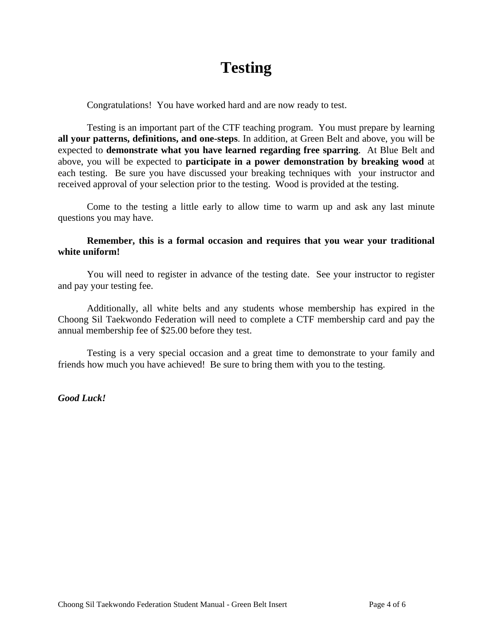# **Testing**

Congratulations! You have worked hard and are now ready to test.

Testing is an important part of the CTF teaching program. You must prepare by learning **all your patterns, definitions, and one-steps**. In addition, at Green Belt and above, you will be expected to **demonstrate what you have learned regarding free sparring**. At Blue Belt and above, you will be expected to **participate in a power demonstration by breaking wood** at each testing. Be sure you have discussed your breaking techniques with your instructor and received approval of your selection prior to the testing. Wood is provided at the testing.

Come to the testing a little early to allow time to warm up and ask any last minute questions you may have.

### **Remember, this is a formal occasion and requires that you wear your traditional white uniform!**

You will need to register in advance of the testing date. See your instructor to register and pay your testing fee.

Additionally, all white belts and any students whose membership has expired in the Choong Sil Taekwondo Federation will need to complete a CTF membership card and pay the annual membership fee of \$25.00 before they test.

Testing is a very special occasion and a great time to demonstrate to your family and friends how much you have achieved! Be sure to bring them with you to the testing.

*Good Luck!*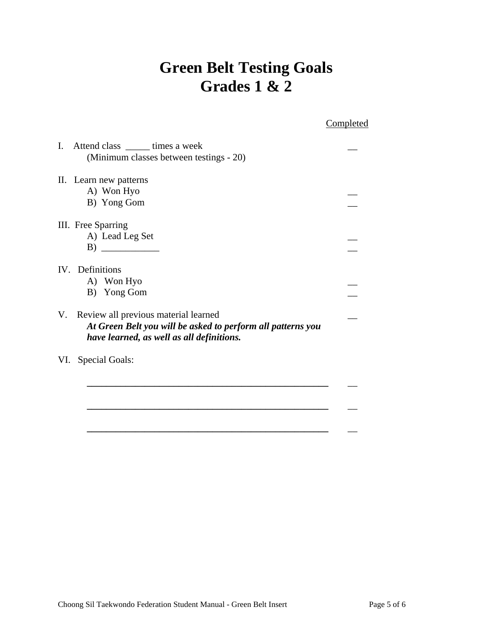# **Green Belt Testing Goals Grades 1 & 2**

|                                                                                                                                                        | Completed |
|--------------------------------------------------------------------------------------------------------------------------------------------------------|-----------|
| L.<br>Attend class _______ times a week<br>(Minimum classes between testings - 20)                                                                     |           |
| II. Learn new patterns                                                                                                                                 |           |
| A) Won Hyo                                                                                                                                             |           |
| B) Yong Gom                                                                                                                                            |           |
| III. Free Sparring                                                                                                                                     |           |
| A) Lead Leg Set                                                                                                                                        |           |
| $\bf{B)}$                                                                                                                                              |           |
| IV. Definitions                                                                                                                                        |           |
| A) Won Hyo                                                                                                                                             |           |
| B) Yong Gom                                                                                                                                            |           |
| Review all previous material learned<br>V.<br>At Green Belt you will be asked to perform all patterns you<br>have learned, as well as all definitions. |           |
| <b>Special Goals:</b><br>VI.                                                                                                                           |           |
|                                                                                                                                                        |           |
|                                                                                                                                                        |           |

 **\_\_\_\_\_\_\_\_\_\_\_\_\_\_\_\_\_\_\_\_\_\_\_\_\_\_\_\_\_\_\_\_\_\_\_\_\_\_\_\_\_\_\_\_\_\_\_\_\_\_** \_\_